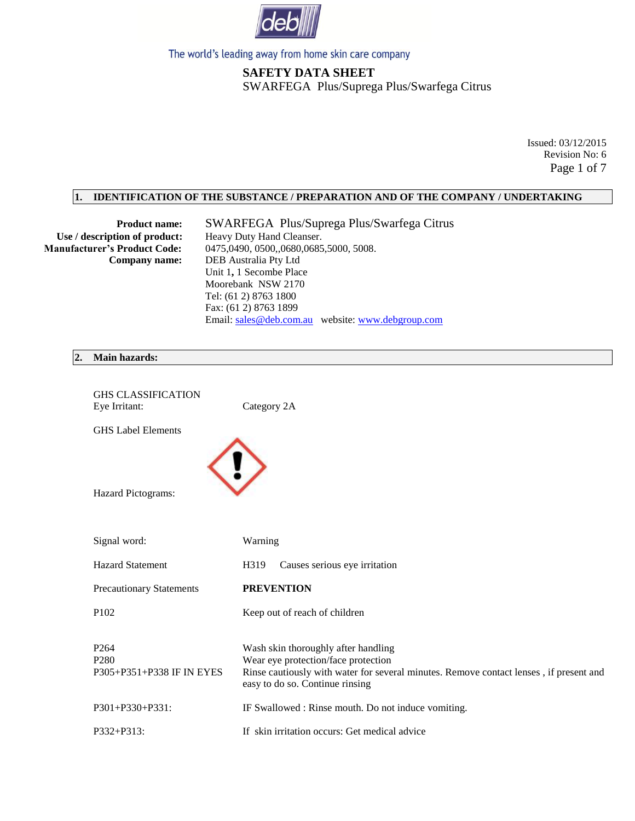

# **SAFETY DATA SHEET** SWARFEGA Plus/Suprega Plus/Swarfega Citrus

Issued: 03/12/2015 Revision No: 6 Page 1 of 7

## **1. IDENTIFICATION OF THE SUBSTANCE / PREPARATION AND OF THE COMPANY / UNDERTAKING**

Use / description of product: Heavy Duty Hand Cleanser.

 **Product name:** SWARFEGA Plus/Suprega Plus/Swarfega Citrus  **Manufacturer's Product Code:** 0475,0490, 0500,,0680,0685,5000, 5008.  **Company name:** DEB Australia Pty Ltd Unit 1**,** 1 Secombe Place Moorebank NSW 2170 Tel: (61 2) 8763 1800 Fax: (61 2) 8763 1899 Email: [sales@deb.com.au](mailto:sales@deb.com.au) website: [www.debgroup.com](http://www.debgroup.com/)

#### **2. Main hazards:**

| <b>GHS CLASSIFICATION</b><br>Eye Irritant:                        | Category 2A                                                                                                                                                                                             |
|-------------------------------------------------------------------|---------------------------------------------------------------------------------------------------------------------------------------------------------------------------------------------------------|
| <b>GHS Label Elements</b>                                         |                                                                                                                                                                                                         |
| Hazard Pictograms:                                                |                                                                                                                                                                                                         |
| Signal word:                                                      | Warning                                                                                                                                                                                                 |
| <b>Hazard Statement</b>                                           | Causes serious eye irritation<br>H319                                                                                                                                                                   |
| <b>Precautionary Statements</b>                                   | <b>PREVENTION</b>                                                                                                                                                                                       |
| P <sub>102</sub>                                                  | Keep out of reach of children                                                                                                                                                                           |
| P <sub>264</sub><br>P <sub>280</sub><br>P305+P351+P338 IF IN EYES | Wash skin thoroughly after handling<br>Wear eye protection/face protection<br>Rinse cautiously with water for several minutes. Remove contact lenses, if present and<br>easy to do so. Continue rinsing |
| P301+P330+P331:                                                   | IF Swallowed : Rinse mouth. Do not induce vomiting.                                                                                                                                                     |
| P332+P313:                                                        | If skin irritation occurs: Get medical advice                                                                                                                                                           |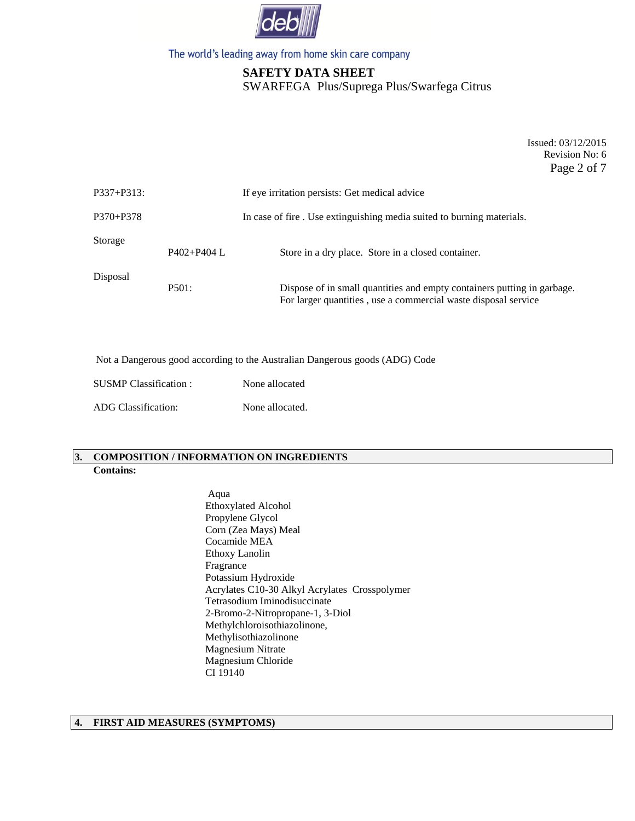

# **SAFETY DATA SHEET** SWARFEGA Plus/Suprega Plus/Swarfega Citrus

Issued: 03/12/2015 Revision No: 6 Page 2 of 7

| P337+P313: |                 | If eye irritation persists: Get medical advice                                                                                            |  |
|------------|-----------------|-------------------------------------------------------------------------------------------------------------------------------------------|--|
| P370+P378  |                 | In case of fire. Use extinguishing media suited to burning materials.                                                                     |  |
| Storage    | $P402 + P404$ L | Store in a dry place. Store in a closed container.                                                                                        |  |
| Disposal   | P501:           | Dispose of in small quantities and empty containers putting in garbage.<br>For larger quantities, use a commercial waste disposal service |  |

Not a Dangerous good according to the Australian Dangerous goods (ADG) Code

| <b>SUSMP</b> Classification : | None allocated  |
|-------------------------------|-----------------|
| <b>ADG</b> Classification:    | None allocated. |

## **3. COMPOSITION / INFORMATION ON INGREDIENTS Contains:**

Aqua Ethoxylated Alcohol Propylene Glycol Corn (Zea Mays) Meal Cocamide MEA Ethoxy Lanolin Fragrance Potassium Hydroxide Acrylates C10-30 Alkyl Acrylates Crosspolymer Tetrasodium Iminodisuccinate 2-Bromo-2-Nitropropane-1, 3-Diol Methylchloroisothiazolinone, Methylisothiazolinone Magnesium Nitrate Magnesium Chloride CI 19140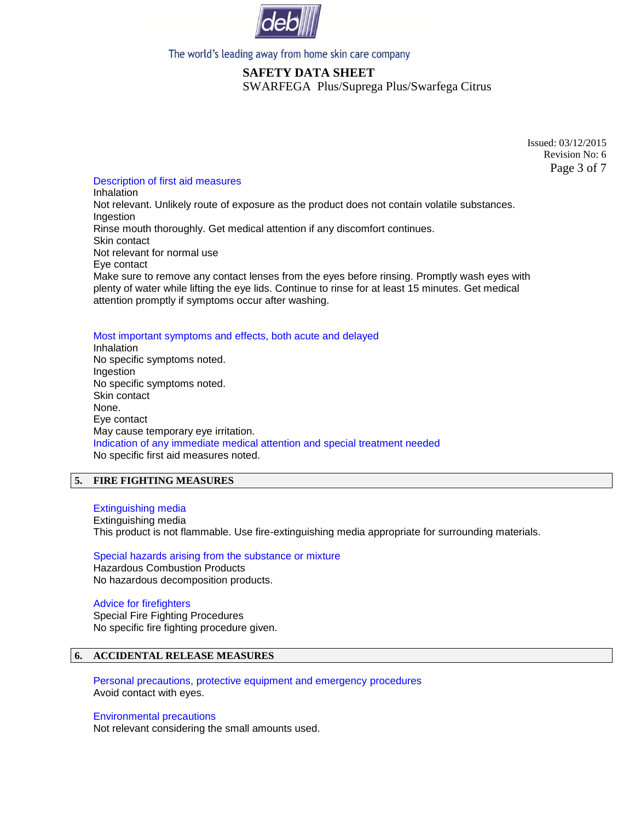

# **SAFETY DATA SHEET** SWARFEGA Plus/Suprega Plus/Swarfega Citrus

Issued: 03/12/2015 Revision No: 6 Page 3 of 7

## Description of first aid measures

Inhalation Not relevant. Unlikely route of exposure as the product does not contain volatile substances. Ingestion Rinse mouth thoroughly. Get medical attention if any discomfort continues. Skin contact Not relevant for normal use Eye contact Make sure to remove any contact lenses from the eyes before rinsing. Promptly wash eyes with plenty of water while lifting the eye lids. Continue to rinse for at least 15 minutes. Get medical attention promptly if symptoms occur after washing.

### Most important symptoms and effects, both acute and delayed

**Inhalation** No specific symptoms noted. Ingestion No specific symptoms noted. Skin contact None. Eye contact May cause temporary eye irritation. Indication of any immediate medical attention and special treatment needed No specific first aid measures noted.

## **5. FIRE FIGHTING MEASURES**

### Extinguishing media

Extinguishing media This product is not flammable. Use fire-extinguishing media appropriate for surrounding materials.

### Special hazards arising from the substance or mixture

Hazardous Combustion Products No hazardous decomposition products.

### Advice for firefighters

Special Fire Fighting Procedures No specific fire fighting procedure given.

## **6. ACCIDENTAL RELEASE MEASURES**

Personal precautions, protective equipment and emergency procedures Avoid contact with eyes.

### Environmental precautions

Not relevant considering the small amounts used.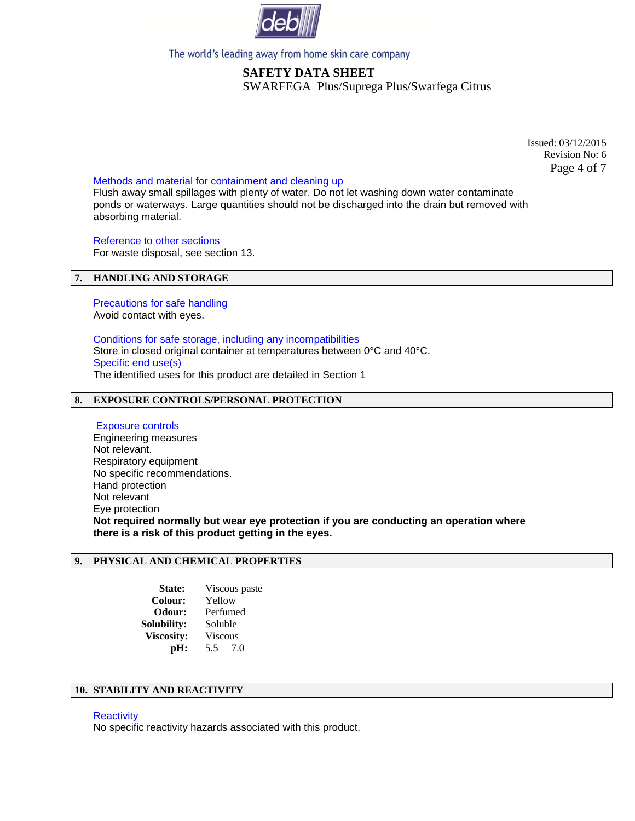

# **SAFETY DATA SHEET** SWARFEGA Plus/Suprega Plus/Swarfega Citrus

Issued: 03/12/2015 Revision No: 6 Page 4 of 7

### Methods and material for containment and cleaning up

Flush away small spillages with plenty of water. Do not let washing down water contaminate ponds or waterways. Large quantities should not be discharged into the drain but removed with absorbing material.

Reference to other sections

For waste disposal, see section 13.

## **7. HANDLING AND STORAGE**

Precautions for safe handling Avoid contact with eyes.

Conditions for safe storage, including any incompatibilities Store in closed original container at temperatures between 0°C and 40°C. Specific end use(s) The identified uses for this product are detailed in Section 1

## **8. EXPOSURE CONTROLS/PERSONAL PROTECTION**

Exposure controls Engineering measures Not relevant. Respiratory equipment No specific recommendations. Hand protection Not relevant Eye protection **Not required normally but wear eye protection if you are conducting an operation where there is a risk of this product getting in the eyes.**

## **9. PHYSICAL AND CHEMICAL PROPERTIES**

 **State:** Viscous paste  **Colour:** Yellow  **Odour:** Perfumed  **Solubility:** Soluble  **Viscosity:** Viscous **pH:**  $5.5 - 7.0$ 

### **10. STABILITY AND REACTIVITY**

#### **Reactivity**

No specific reactivity hazards associated with this product.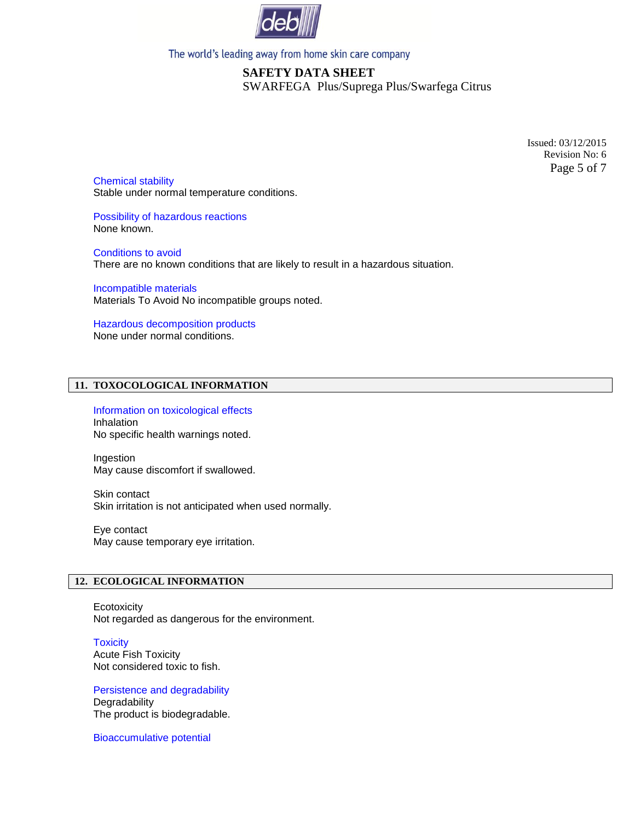

# **SAFETY DATA SHEET** SWARFEGA Plus/Suprega Plus/Swarfega Citrus

Issued: 03/12/2015 Revision No: 6 Page 5 of 7

Chemical stability Stable under normal temperature conditions.

Possibility of hazardous reactions None known.

Conditions to avoid There are no known conditions that are likely to result in a hazardous situation.

Incompatible materials Materials To Avoid No incompatible groups noted.

Hazardous decomposition products None under normal conditions.

## **11. TOXOCOLOGICAL INFORMATION**

Information on toxicological effects Inhalation No specific health warnings noted.

Ingestion May cause discomfort if swallowed.

Skin contact Skin irritation is not anticipated when used normally.

Eye contact May cause temporary eye irritation.

## **12. ECOLOGICAL INFORMATION**

**Ecotoxicity** Not regarded as dangerous for the environment.

**Toxicity** Acute Fish Toxicity Not considered toxic to fish.

Persistence and degradability **Degradability** The product is biodegradable.

Bioaccumulative potential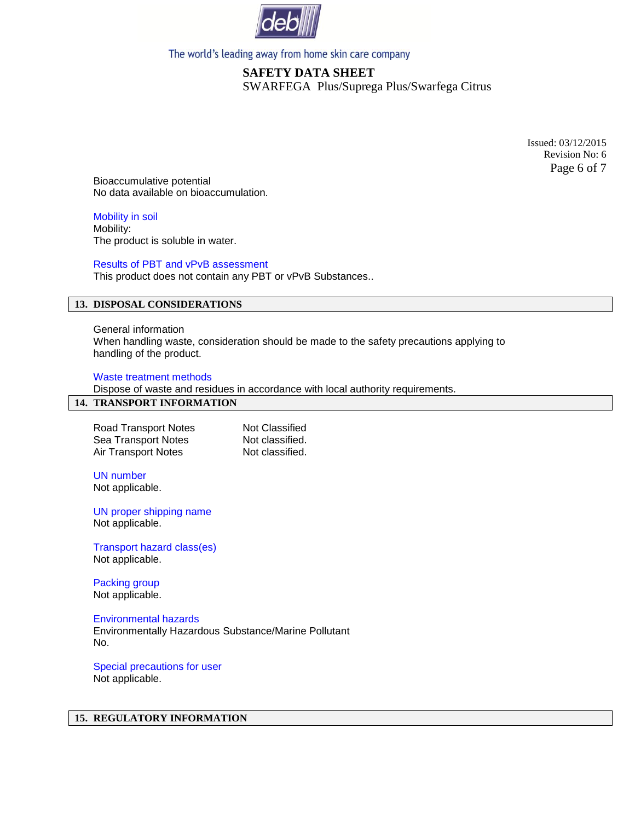

# **SAFETY DATA SHEET** SWARFEGA Plus/Suprega Plus/Swarfega Citrus

Issued: 03/12/2015 Revision No: 6 Page 6 of 7

Bioaccumulative potential No data available on bioaccumulation.

Mobility in soil Mobility: The product is soluble in water.

## Results of PBT and vPvB assessment

This product does not contain any PBT or vPvB Substances..

## **13. DISPOSAL CONSIDERATIONS**

General information When handling waste, consideration should be made to the safety precautions applying to handling of the product.

#### Waste treatment methods

Dispose of waste and residues in accordance with local authority requirements.

### **14. TRANSPORT INFORMATION**

Road Transport Notes<br>
Sea Transport Notes<br>
Not classified. Sea Transport Notes Air Transport Notes Not classified.

UN number Not applicable.

UN proper shipping name Not applicable.

Transport hazard class(es) Not applicable.

Packing group Not applicable.

Environmental hazards

Environmentally Hazardous Substance/Marine Pollutant No.

Special precautions for user Not applicable.

## **15. REGULATORY INFORMATION**